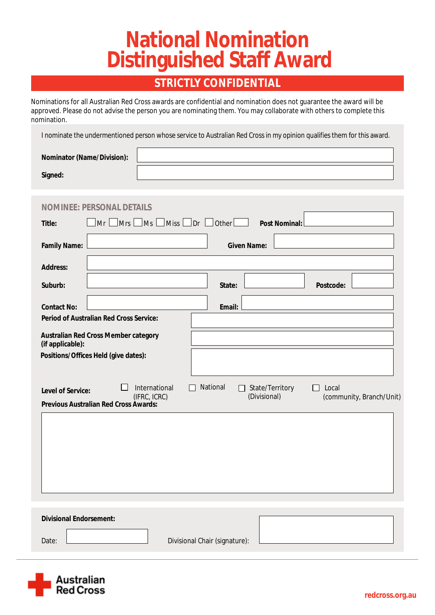# **National Nomination Distinguished Staff Award**

### **STRICTLY CONFIDENTIAL**

Nominations for all Australian Red Cross awards are confidential and nomination does not guarantee the award will be approved. Please do not advise the person you are nominating them. You may collaborate with others to complete this nomination.

I nominate the undermentioned person whose service to Australian Red Cross in my opinion qualifies them for this award.

| <b>Nominator (Name/Division):</b> |  |
|-----------------------------------|--|
| Signed:                           |  |

| <b>NOMINE: PERSONAL DETAILS</b>                                                                                                                                                    |  |  |  |  |  |  |
|------------------------------------------------------------------------------------------------------------------------------------------------------------------------------------|--|--|--|--|--|--|
| $\lfloor$ Miss $\lfloor$ Dr $\lfloor$ Other $\lfloor$<br>$\Box$ Mrs $\Box$<br>$\Box$ Ms<br>Mr<br><b>Post Nominal:</b><br><b>Title:</b>                                             |  |  |  |  |  |  |
| <b>Family Name:</b><br><b>Given Name:</b>                                                                                                                                          |  |  |  |  |  |  |
| <b>Address:</b>                                                                                                                                                                    |  |  |  |  |  |  |
| Suburb:<br><b>Postcode:</b><br>State:                                                                                                                                              |  |  |  |  |  |  |
| <b>Contact No:</b><br><b>Email:</b>                                                                                                                                                |  |  |  |  |  |  |
| <b>Period of Australian Red Cross Service:</b>                                                                                                                                     |  |  |  |  |  |  |
| <b>Australian Red Cross Member category</b><br>(if applicable):                                                                                                                    |  |  |  |  |  |  |
| Positions/Offices Held (give dates):                                                                                                                                               |  |  |  |  |  |  |
| <b>National</b><br><b>International</b><br><b>State/Territory</b><br>Local<br>$\mathsf{L}$<br><b>Level of Service:</b><br>(IFRC, ICRC)<br>(Divisional)<br>(community, Branch/Unit) |  |  |  |  |  |  |
| <b>Previous Australian Red Cross Awards:</b>                                                                                                                                       |  |  |  |  |  |  |
|                                                                                                                                                                                    |  |  |  |  |  |  |
|                                                                                                                                                                                    |  |  |  |  |  |  |
|                                                                                                                                                                                    |  |  |  |  |  |  |
|                                                                                                                                                                                    |  |  |  |  |  |  |
|                                                                                                                                                                                    |  |  |  |  |  |  |
| <b>Divisional Endorsement:</b>                                                                                                                                                     |  |  |  |  |  |  |
| <b>Divisional Chair (signature):</b><br>Date:                                                                                                                                      |  |  |  |  |  |  |
|                                                                                                                                                                                    |  |  |  |  |  |  |

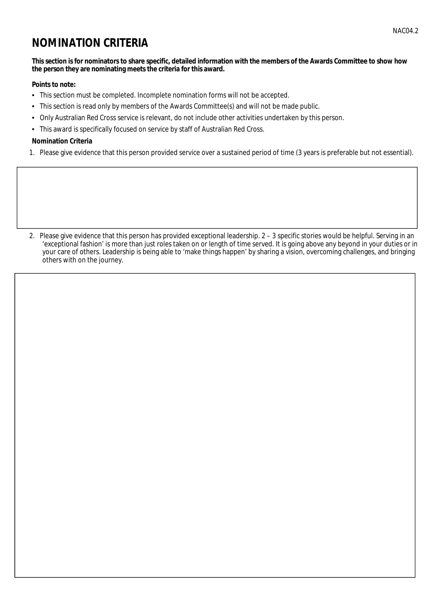## **NOMINATION CRITERIA**

#### This section is for nominators to share specific, detailed information with the members of the Awards Committee to show how the person they are nominating meets the criteria for this award.

### **Points to note:**

- This section must be completed. Incomplete nomination forms will not be accepted.
- $\bullet$ This section is read only by members of the Awards Committee(s) and will not be made public.
- Only Australian Red Cross service is relevant, do not include other activities undertaken by this person.
- This award is specifically focused on service by staff of Australian Red Cross.

### **Nomination Criteria**

1. Please give evidence that this person provided service over a sustained period of time (3 years is preferable but not essential).

2. Please give evidence that this person has provided exceptional leadership. 2 - 3 specific stories would be helpful. Serving in an 'exceptional fashion' is more than just roles taken on or length of time served. It is going above any beyond in your duties or in your care of others. Leadership is being able to 'make things happen' by sharing a vision, overcoming challenges, and bringing others with on the journey.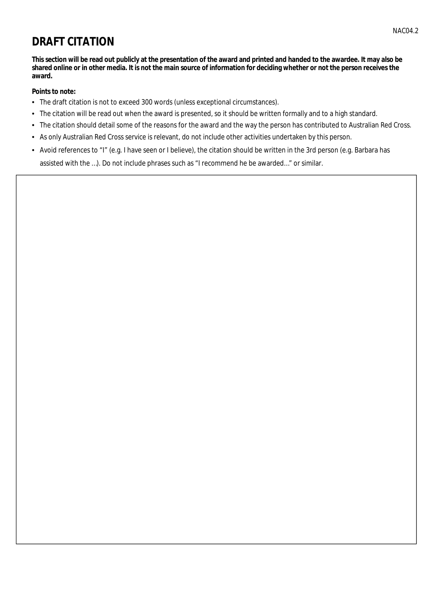# **DRAFT CITATION**

This section will be read out publicly at the presentation of the award and printed and handed to the awardee. It may also be shared online or in other media. It is not the main source of information for deciding whether or not the person receives the award.

### **Points to note:**

- The draft citation is not to exceed 300 words (unless exceptional circumstances).
- The citation will be read out when the award is presented, so it should be written formally and to a high standard.
- The citation should detail some of the reasons for the award and the way the person has contributed to Australian Red Cross.
- As only Australian Red Cross service is relevant, do not include other activities undertaken by this person.
- Avoid references to "I" (e.g. I have seen or I believe), the citation should be written in the 3rd person (e.g. Barbara has assisted with the ...). Do not include phrases such as "I recommend he be awarded..." or similar.